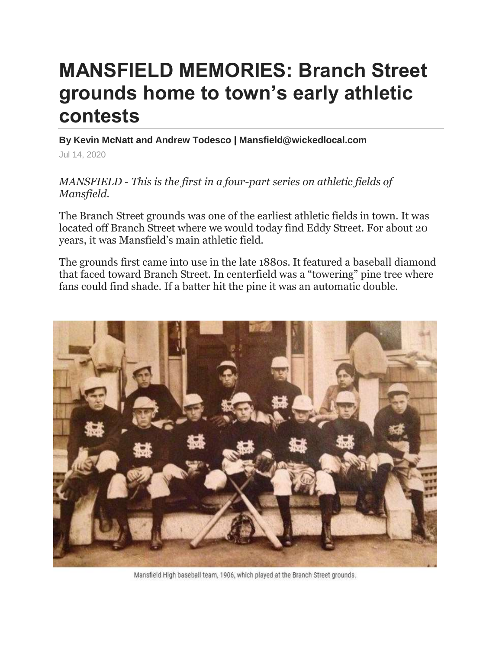## **MANSFIELD MEMORIES: Branch Street grounds home to town's early athletic contests**

**By Kevin McNatt and Andrew Todesco | Mansfield@wickedlocal.com**

Jul 14, 2020

*MANSFIELD - This is the first in a four-part series on athletic fields of Mansfield.*

The Branch Street grounds was one of the earliest athletic fields in town. It was located off Branch Street where we would today find Eddy Street. For about 20 years, it was Mansfield's main athletic field.

The grounds first came into use in the late 1880s. It featured a baseball diamond that faced toward Branch Street. In centerfield was a "towering" pine tree where fans could find shade. If a batter hit the pine it was an automatic double.



Mansfield High baseball team, 1906, which played at the Branch Street grounds.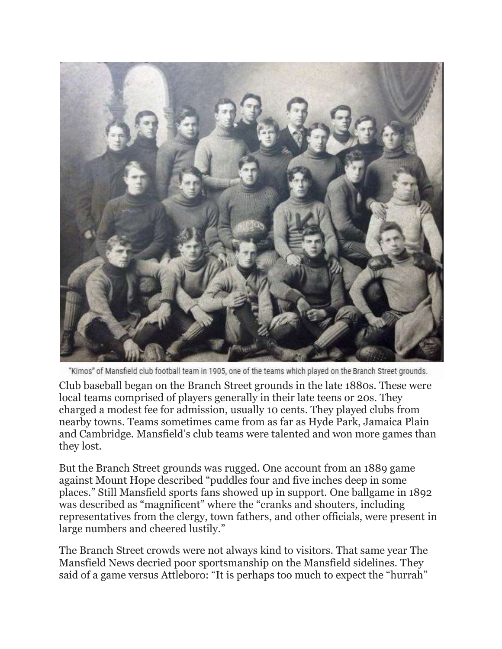

"Kimos" of Mansfield club football team in 1905, one of the teams which played on the Branch Street grounds.

Club baseball began on the Branch Street grounds in the late 1880s. These were local teams comprised of players generally in their late teens or 20s. They charged a modest fee for admission, usually 10 cents. They played clubs from nearby towns. Teams sometimes came from as far as Hyde Park, Jamaica Plain and Cambridge. Mansfield's club teams were talented and won more games than they lost.

But the Branch Street grounds was rugged. One account from an 1889 game against Mount Hope described "puddles four and five inches deep in some places." Still Mansfield sports fans showed up in support. One ballgame in 1892 was described as "magnificent" where the "cranks and shouters, including representatives from the clergy, town fathers, and other officials, were present in large numbers and cheered lustily."

The Branch Street crowds were not always kind to visitors. That same year The Mansfield News decried poor sportsmanship on the Mansfield sidelines. They said of a game versus Attleboro: "It is perhaps too much to expect the "hurrah"